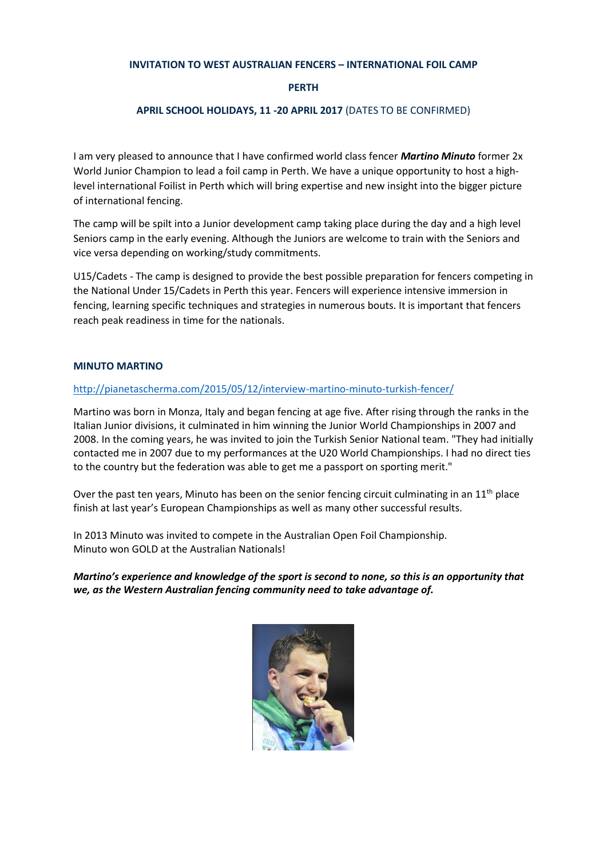# **INVITATION TO WEST AUSTRALIAN FENCERS – INTERNATIONAL FOIL CAMP**

#### **PERTH**

# **APRIL SCHOOL HOLIDAYS, 11 -20 APRIL 2017** (DATES TO BE CONFIRMED)

I am very pleased to announce that I have confirmed world class fencer *Martino Minuto* former 2x World Junior Champion to lead a foil camp in Perth. We have a unique opportunity to host a highlevel international Foilist in Perth which will bring expertise and new insight into the bigger picture of international fencing.

The camp will be spilt into a Junior development camp taking place during the day and a high level Seniors camp in the early evening. Although the Juniors are welcome to train with the Seniors and vice versa depending on working/study commitments.

U15/Cadets - The camp is designed to provide the best possible preparation for fencers competing in the National Under 15/Cadets in Perth this year. Fencers will experience intensive immersion in fencing, learning specific techniques and strategies in numerous bouts. It is important that fencers reach peak readiness in time for the nationals.

#### **MINUTO MARTINO**

#### <http://pianetascherma.com/2015/05/12/interview-martino-minuto-turkish-fencer/>

Martino was born in Monza, Italy and began fencing at age five. After rising through the ranks in the Italian Junior divisions, it culminated in him winning the Junior World Championships in 2007 and 2008. In the coming years, he was invited to join the Turkish Senior National team. "They had initially contacted me in 2007 due to my performances at the U20 World Championships. I had no direct ties to the country but the federation was able to get me a passport on sporting merit."

Over the past ten years, Minuto has been on the senior fencing circuit culminating in an 11<sup>th</sup> place finish at last year's European Championships as well as many other successful results.

In 2013 Minuto was invited to compete in the Australian Open Foil Championship. Minuto won GOLD at the Australian Nationals!

*Martino's experience and knowledge of the sport is second to none, so this is an opportunity that we, as the Western Australian fencing community need to take advantage of.*

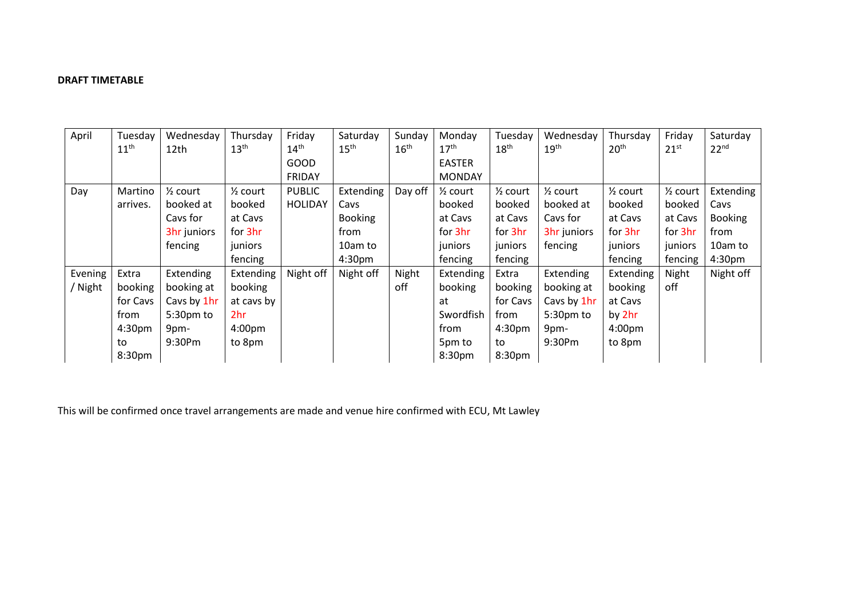# **DRAFT TIMETABLE**

| April   | Tuesday            | Wednesday           | Thursday            | Friday           | Saturday           | Sunday           | Monday              | Tuesday             | Wednesday           | Thursday            | Friday              | Saturday           |
|---------|--------------------|---------------------|---------------------|------------------|--------------------|------------------|---------------------|---------------------|---------------------|---------------------|---------------------|--------------------|
|         | 11 <sup>th</sup>   | 12th                | 13 <sup>th</sup>    | $14^{\text{th}}$ | 15 <sup>th</sup>   | 16 <sup>th</sup> | $17^{\text{th}}$    | 18 <sup>th</sup>    | 19 <sup>th</sup>    | 20 <sup>th</sup>    | $21^{st}$           | 22 <sup>nd</sup>   |
|         |                    |                     |                     | <b>GOOD</b>      |                    |                  | <b>EASTER</b>       |                     |                     |                     |                     |                    |
|         |                    |                     |                     | <b>FRIDAY</b>    |                    |                  | <b>MONDAY</b>       |                     |                     |                     |                     |                    |
| Day     | Martino            | $\frac{1}{2}$ court | $\frac{1}{2}$ court | <b>PUBLIC</b>    | Extending          | Day off          | $\frac{1}{2}$ court | $\frac{1}{2}$ court | $\frac{1}{2}$ court | $\frac{1}{2}$ court | $\frac{1}{2}$ court | Extending          |
|         | arrives.           | booked at           | booked              | <b>HOLIDAY</b>   | Cavs               |                  | booked              | booked              | booked at           | booked              | booked              | Cavs               |
|         |                    | Cavs for            | at Cavs             |                  | <b>Booking</b>     |                  | at Cavs             | at Cavs             | Cavs for            | at Cavs             | at Cavs             | <b>Booking</b>     |
|         |                    | 3hr juniors         | for 3hr             |                  | from               |                  | for 3hr             | for 3hr             | 3hr juniors         | for 3hr             | for 3hr             | from               |
|         |                    | fencing             | juniors             |                  | 10am to            |                  | juniors             | juniors             | fencing             | juniors             | juniors             | 10am to            |
|         |                    |                     | fencing             |                  | 4:30 <sub>pm</sub> |                  | fencing             | fencing             |                     | fencing             | fencing             | 4:30 <sub>pm</sub> |
| Evening | Extra              | Extending           | Extending           | Night off        | Night off          | Night            | Extending           | Extra               | Extending           | Extending           | Night               | Night off          |
| / Night | booking            | booking at          | booking             |                  |                    | off              | booking             | booking             | booking at          | booking             | off                 |                    |
|         | for Cavs           | Cavs by 1hr         | at cavs by          |                  |                    |                  | at                  | for Cavs            | Cavs by 1hr         | at Cavs             |                     |                    |
|         | from               | $5:30pm$ to         | 2hr                 |                  |                    |                  | Swordfish           | from                | 5:30pm to           | by 2hr              |                     |                    |
|         | 4:30 <sub>pm</sub> | 9pm-                | 4:00 <sub>pm</sub>  |                  |                    |                  | from                | 4:30 <sub>pm</sub>  | 9pm-                | 4:00 <sub>pm</sub>  |                     |                    |
|         | to                 | 9:30Pm              | to 8pm              |                  |                    |                  | 5pm to              | to                  | 9:30Pm              | to 8pm              |                     |                    |
|         | 8:30pm             |                     |                     |                  |                    |                  | 8:30 <sub>pm</sub>  | 8:30 <sub>pm</sub>  |                     |                     |                     |                    |

This will be confirmed once travel arrangements are made and venue hire confirmed with ECU, Mt Lawley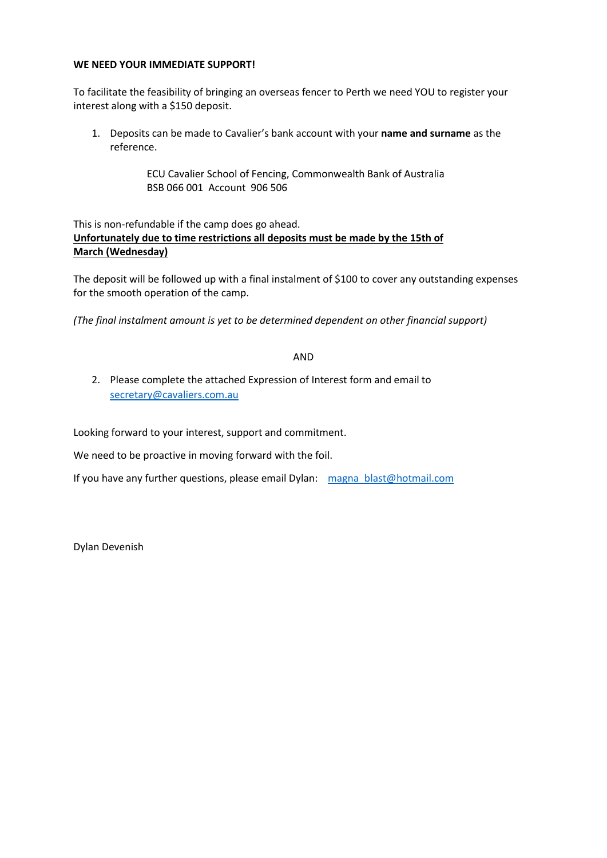# **WE NEED YOUR IMMEDIATE SUPPORT!**

To facilitate the feasibility of bringing an overseas fencer to Perth we need YOU to register your interest along with a \$150 deposit.

1. Deposits can be made to Cavalier's bank account with your **name and surname** as the reference.

> ECU Cavalier School of Fencing, Commonwealth Bank of Australia BSB 066 001 Account 906 506

This is non-refundable if the camp does go ahead. **Unfortunately due to time restrictions all deposits must be made by the 15th of March (Wednesday)**

The deposit will be followed up with a final instalment of \$100 to cover any outstanding expenses for the smooth operation of the camp.

*(The final instalment amount is yet to be determined dependent on other financial support)*

AND

2. Please complete the attached Expression of Interest form and email to [secretary@cavaliers.com.au](mailto:secretary@cavaliers.com.au)

Looking forward to your interest, support and commitment.

We need to be proactive in moving forward with the foil.

If you have any further questions, please email Dylan: [magna\\_blast@hotmail.com](mailto:magna_blast@hotmail.com)

Dylan Devenish